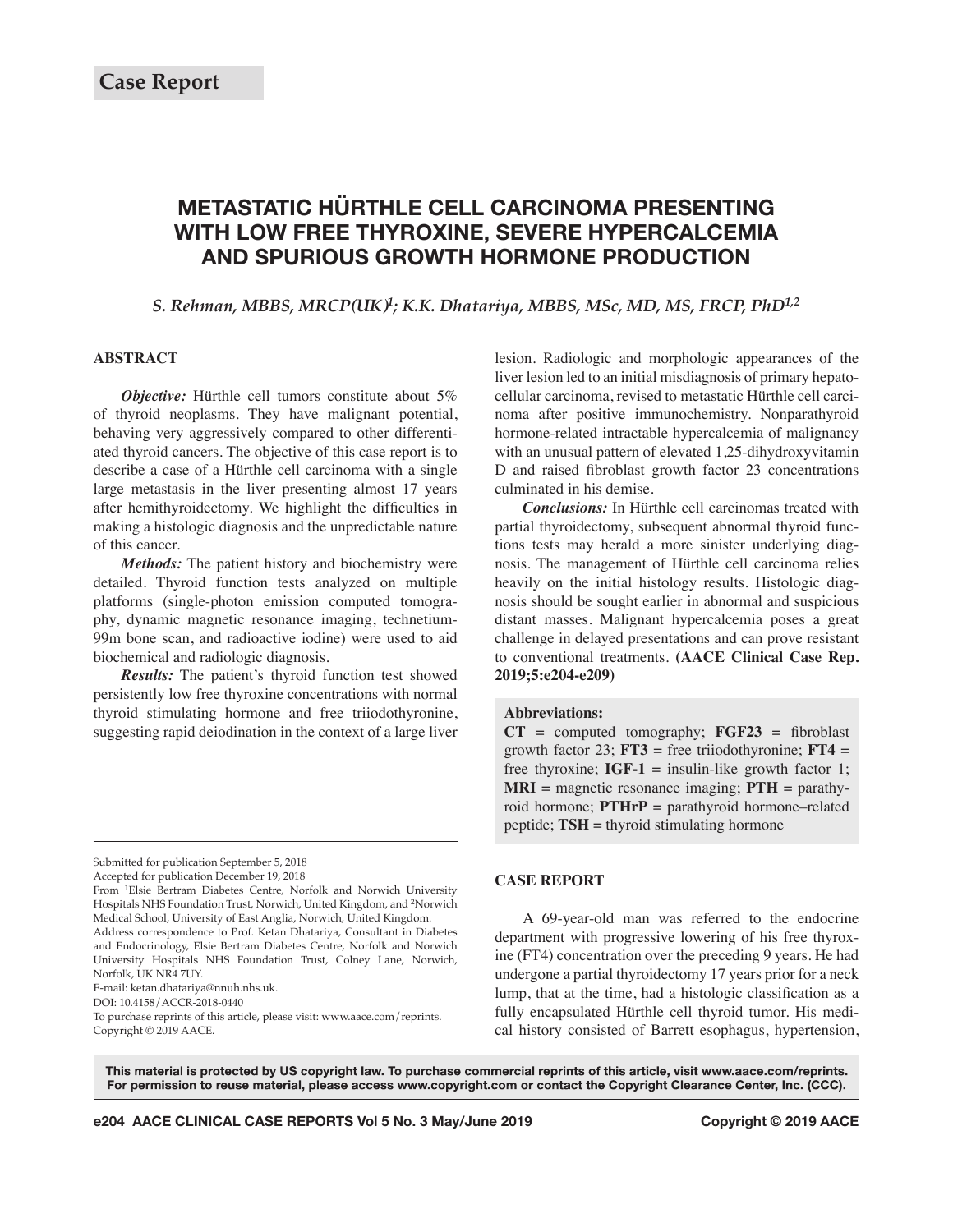# **METASTATIC HÜRTHLE CELL CARCINOMA PRESENTING WITH LOW FREE THYROXINE, SEVERE HYPERCALCEMIA AND SPURIOUS GROWTH HORMONE PRODUCTION**

*S. Rehman, MBBS, MRCP(UK)1; K.K. Dhatariya, MBBS, MSc, MD, MS, FRCP, PhD1,2*

# **ABSTRACT**

*Objective:* Hürthle cell tumors constitute about 5% of thyroid neoplasms. They have malignant potential, behaving very aggressively compared to other differentiated thyroid cancers. The objective of this case report is to describe a case of a Hürthle cell carcinoma with a single large metastasis in the liver presenting almost 17 years after hemithyroidectomy. We highlight the difficulties in making a histologic diagnosis and the unpredictable nature of this cancer.

*Methods:* The patient history and biochemistry were detailed. Thyroid function tests analyzed on multiple platforms (single-photon emission computed tomography, dynamic magnetic resonance imaging, technetium-99m bone scan, and radioactive iodine) were used to aid biochemical and radiologic diagnosis.

*Results:* The patient's thyroid function test showed persistently low free thyroxine concentrations with normal thyroid stimulating hormone and free triiodothyronine, suggesting rapid deiodination in the context of a large liver

Accepted for publication December 19, 2018

E-mail: ketan.dhatariya@nnuh.nhs.uk.

DOI: 10.4158/ACCR-2018-0440

To purchase reprints of this article, please visit: www.aace.com/reprints. Copyright © 2019 AACE.

lesion. Radiologic and morphologic appearances of the liver lesion led to an initial misdiagnosis of primary hepatocellular carcinoma, revised to metastatic Hürthle cell carcinoma after positive immunochemistry. Nonparathyroid hormone-related intractable hypercalcemia of malignancy with an unusual pattern of elevated 1,25-dihydroxyvitamin D and raised fibroblast growth factor 23 concentrations culminated in his demise.

*Conclusions:* In Hürthle cell carcinomas treated with partial thyroidectomy, subsequent abnormal thyroid functions tests may herald a more sinister underlying diagnosis. The management of Hürthle cell carcinoma relies heavily on the initial histology results. Histologic diagnosis should be sought earlier in abnormal and suspicious distant masses. Malignant hypercalcemia poses a great challenge in delayed presentations and can prove resistant to conventional treatments. **(AACE Clinical Case Rep. 2019;5:e204-e209)**

#### **Abbreviations:**

 $CT = computed tomography$ ;  $FGF23 = fibroblast$ growth factor 23;  $FT3$  = free triiodothyronine;  $FT4$  = free thyroxine;  $IGF-1 =$  insulin-like growth factor 1; **MRI** = magnetic resonance imaging;  $PTH =$  parathyroid hormone; **PTHrP** = parathyroid hormone–related peptide; **TSH** = thyroid stimulating hormone

### **CASE REPORT**

A 69-year-old man was referred to the endocrine department with progressive lowering of his free thyroxine (FT4) concentration over the preceding 9 years. He had undergone a partial thyroidectomy 17 years prior for a neck lump, that at the time, had a histologic classification as a fully encapsulated Hürthle cell thyroid tumor. His medical history consisted of Barrett esophagus, hypertension,

This material is protected by US copyright law. To purchase commercial reprints of this article, visit www.aace.com/reprints. For permission to reuse material, please access www.copyright.com or contact the Copyright Clearance Center, Inc. (CCC).

**e204 AACE CLINICAL CASE REPORTS Vol 5 No. 3 May/June 2019** 

Submitted for publication September 5, 2018

From 1Elsie Bertram Diabetes Centre, Norfolk and Norwich University Hospitals NHS Foundation Trust, Norwich, United Kingdom, and 2Norwich Medical School, University of East Anglia, Norwich, United Kingdom. Address correspondence to Prof. Ketan Dhatariya, Consultant in Diabetes and Endocrinology, Elsie Bertram Diabetes Centre, Norfolk and Norwich University Hospitals NHS Foundation Trust, Colney Lane, Norwich, Norfolk, UK NR4 7UY.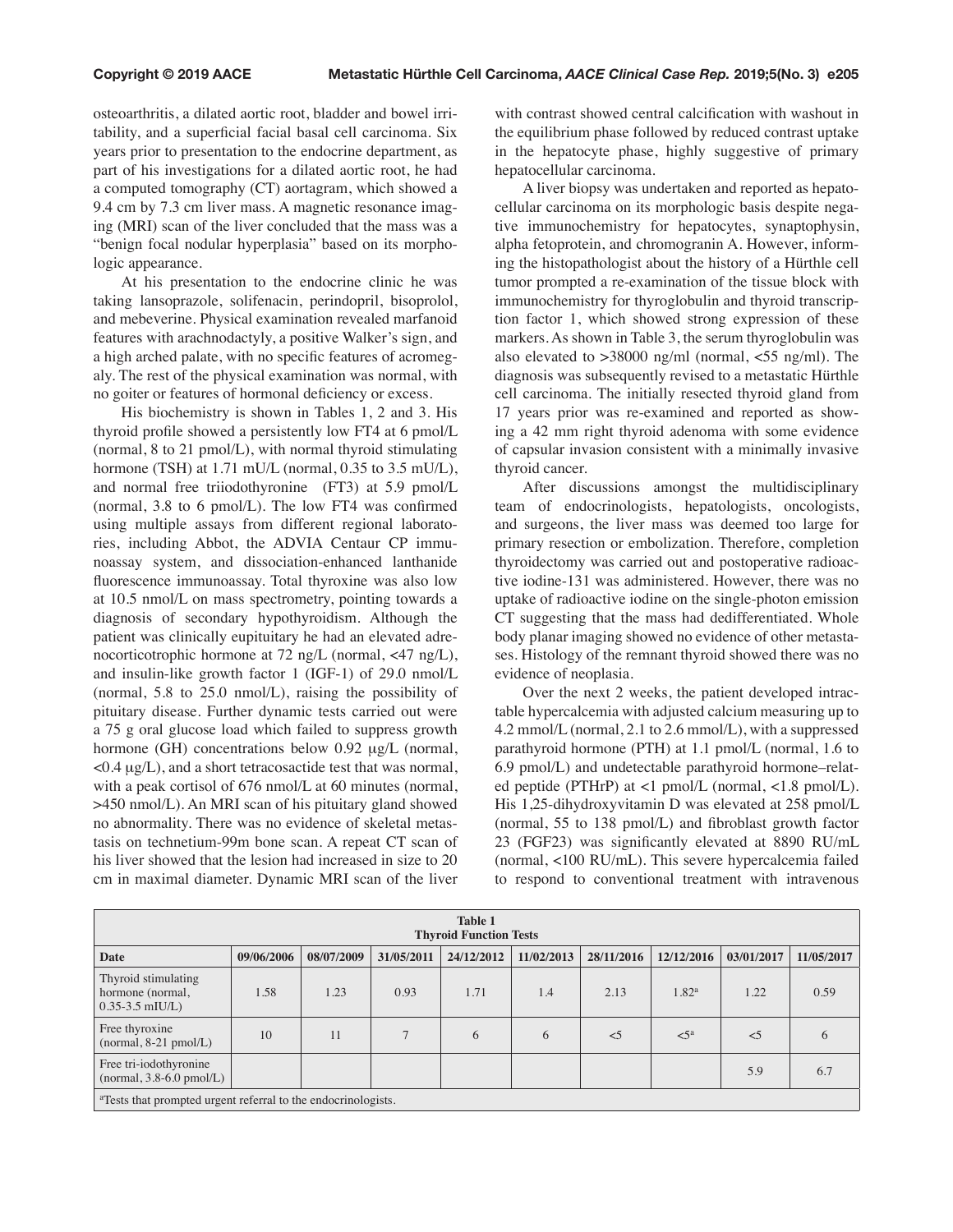osteoarthritis, a dilated aortic root, bladder and bowel irritability, and a superficial facial basal cell carcinoma. Six years prior to presentation to the endocrine department, as part of his investigations for a dilated aortic root, he had a computed tomography (CT) aortagram, which showed a 9.4 cm by 7.3 cm liver mass. A magnetic resonance imaging (MRI) scan of the liver concluded that the mass was a "benign focal nodular hyperplasia" based on its morphologic appearance.

At his presentation to the endocrine clinic he was taking lansoprazole, solifenacin, perindopril, bisoprolol, and mebeverine. Physical examination revealed marfanoid features with arachnodactyly, a positive Walker's sign, and a high arched palate, with no specific features of acromegaly. The rest of the physical examination was normal, with no goiter or features of hormonal deficiency or excess.

His biochemistry is shown in Tables 1, 2 and 3. His thyroid profile showed a persistently low FT4 at 6 pmol/L (normal, 8 to 21 pmol/L), with normal thyroid stimulating hormone (TSH) at 1.71 mU/L (normal, 0.35 to 3.5 mU/L), and normal free triiodothyronine (FT3) at 5.9 pmol/L (normal, 3.8 to 6 pmol/L). The low FT4 was confirmed using multiple assays from different regional laboratories, including Abbot, the ADVIA Centaur CP immunoassay system, and dissociation-enhanced lanthanide fluorescence immunoassay. Total thyroxine was also low at 10.5 nmol/L on mass spectrometry, pointing towards a diagnosis of secondary hypothyroidism. Although the patient was clinically eupituitary he had an elevated adrenocorticotrophic hormone at 72 ng/L (normal, <47 ng/L), and insulin-like growth factor 1 (IGF-1) of 29.0 nmol/L (normal, 5.8 to 25.0 nmol/L), raising the possibility of pituitary disease. Further dynamic tests carried out were a 75 g oral glucose load which failed to suppress growth hormone (GH) concentrations below 0.92  $\mu$ g/L (normal,  $\langle 0.4 \mu g/L \rangle$ , and a short tetracosactide test that was normal, with a peak cortisol of 676 nmol/L at 60 minutes (normal, >450 nmol/L). An MRI scan of his pituitary gland showed no abnormality. There was no evidence of skeletal metastasis on technetium-99m bone scan. A repeat CT scan of his liver showed that the lesion had increased in size to 20 cm in maximal diameter. Dynamic MRI scan of the liver

with contrast showed central calcification with washout in the equilibrium phase followed by reduced contrast uptake in the hepatocyte phase, highly suggestive of primary hepatocellular carcinoma.

A liver biopsy was undertaken and reported as hepatocellular carcinoma on its morphologic basis despite negative immunochemistry for hepatocytes, synaptophysin, alpha fetoprotein, and chromogranin A. However, informing the histopathologist about the history of a Hürthle cell tumor prompted a re-examination of the tissue block with immunochemistry for thyroglobulin and thyroid transcription factor 1, which showed strong expression of these markers. As shown in Table 3, the serum thyroglobulin was also elevated to  $>38000$  ng/ml (normal,  $<$ 55 ng/ml). The diagnosis was subsequently revised to a metastatic Hürthle cell carcinoma. The initially resected thyroid gland from 17 years prior was re-examined and reported as showing a 42 mm right thyroid adenoma with some evidence of capsular invasion consistent with a minimally invasive thyroid cancer.

After discussions amongst the multidisciplinary team of endocrinologists, hepatologists, oncologists, and surgeons, the liver mass was deemed too large for primary resection or embolization. Therefore, completion thyroidectomy was carried out and postoperative radioactive iodine-131 was administered. However, there was no uptake of radioactive iodine on the single-photon emission CT suggesting that the mass had dedifferentiated. Whole body planar imaging showed no evidence of other metastases. Histology of the remnant thyroid showed there was no evidence of neoplasia.

Over the next 2 weeks, the patient developed intractable hypercalcemia with adjusted calcium measuring up to 4.2 mmol/L (normal, 2.1 to 2.6 mmol/L), with a suppressed parathyroid hormone (PTH) at 1.1 pmol/L (normal, 1.6 to 6.9 pmol/L) and undetectable parathyroid hormone–related peptide (PTHrP) at <1 pmol/L (normal, <1.8 pmol/L). His 1,25-dihydroxyvitamin D was elevated at 258 pmol/L (normal, 55 to 138 pmol/L) and fibroblast growth factor 23 (FGF23) was significantly elevated at 8890 RU/mL (normal, <100 RU/mL). This severe hypercalcemia failed to respond to conventional treatment with intravenous

| <b>Table 1</b><br><b>Thyroid Function Tests</b>                           |            |            |               |            |            |            |                   |            |            |  |  |
|---------------------------------------------------------------------------|------------|------------|---------------|------------|------------|------------|-------------------|------------|------------|--|--|
| <b>Date</b>                                                               | 09/06/2006 | 08/07/2009 | 31/05/2011    | 24/12/2012 | 11/02/2013 | 28/11/2016 | 12/12/2016        | 03/01/2017 | 11/05/2017 |  |  |
| Thyroid stimulating<br>hormone (normal,<br>$0.35 - 3.5$ mIU/L)            | 1.58       | 1.23       | 0.93          | 1.71       | 1.4        | 2.13       | 1.82 <sup>a</sup> | 1.22       | 0.59       |  |  |
| Free thyroxine<br>$(normal, 8-21 \text{ pmol/L})$                         | 10         | 11         | $\mathcal{L}$ | 6          | 6          | $\leq$ 5   | $\leq 5^a$        | $\leq$ 5   | 6          |  |  |
| Free tri-iodothyronine<br>$(normal, 3.8-6.0 \text{ pmol/L})$              |            |            |               |            |            |            |                   | 5.9        | 6.7        |  |  |
| <sup>a</sup> Tests that prompted urgent referral to the endocrinologists. |            |            |               |            |            |            |                   |            |            |  |  |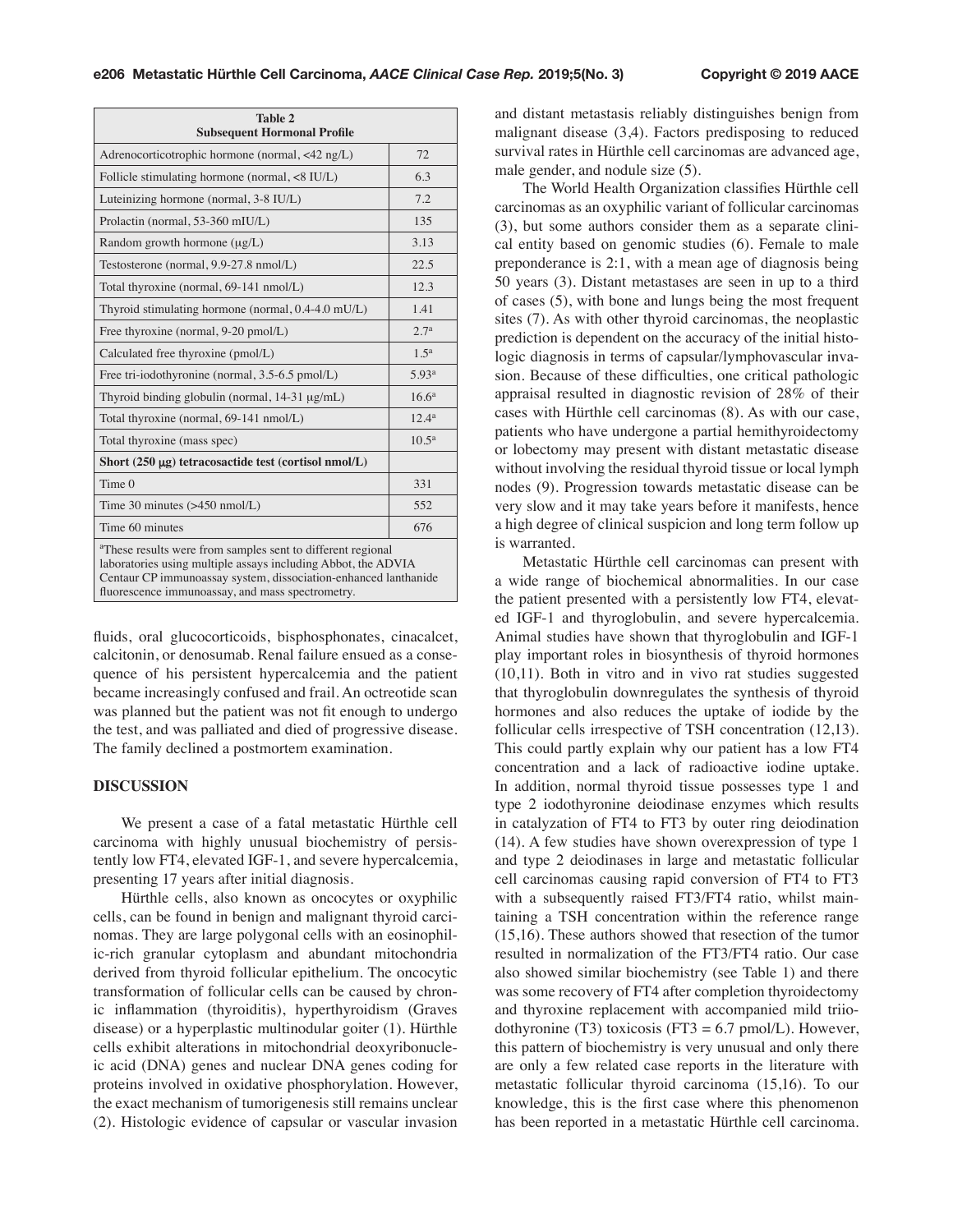| Table 2<br><b>Subsequent Hormonal Profile</b>                                                                                                                                                                                                                   |                   |  |  |  |
|-----------------------------------------------------------------------------------------------------------------------------------------------------------------------------------------------------------------------------------------------------------------|-------------------|--|--|--|
| Adrenocorticotrophic hormone (normal, <42 ng/L)                                                                                                                                                                                                                 | 72                |  |  |  |
| Follicle stimulating hormone (normal, <8 IU/L)                                                                                                                                                                                                                  | 6.3               |  |  |  |
| Luteinizing hormone (normal, 3-8 IU/L)                                                                                                                                                                                                                          | 7.2               |  |  |  |
| Prolactin (normal, 53-360 mIU/L)                                                                                                                                                                                                                                | 135               |  |  |  |
| Random growth hormone $(\mu g/L)$                                                                                                                                                                                                                               | 3.13              |  |  |  |
| Testosterone (normal, 9.9-27.8 nmol/L)                                                                                                                                                                                                                          | 22.5              |  |  |  |
| Total thyroxine (normal, 69-141 nmol/L)                                                                                                                                                                                                                         | 12.3              |  |  |  |
| Thyroid stimulating hormone (normal, 0.4-4.0 mU/L)                                                                                                                                                                                                              | 1.41              |  |  |  |
| Free thyroxine (normal, 9-20 pmol/L)                                                                                                                                                                                                                            | 2.7 <sup>a</sup>  |  |  |  |
| Calculated free thyroxine (pmol/L)                                                                                                                                                                                                                              | 1.5 <sup>a</sup>  |  |  |  |
| Free tri-iodothyronine (normal, 3.5-6.5 pmol/L)                                                                                                                                                                                                                 | 5.93 <sup>a</sup> |  |  |  |
| Thyroid binding globulin (normal, 14-31 µg/mL)                                                                                                                                                                                                                  | $16.6^a$          |  |  |  |
| Total thyroxine (normal, 69-141 nmol/L)                                                                                                                                                                                                                         | 12.4 <sup>a</sup> |  |  |  |
| Total thyroxine (mass spec)                                                                                                                                                                                                                                     | $10.5^{\rm a}$    |  |  |  |
| Short $(250 \mu g)$ tetracosactide test (cortisol nmol/L)                                                                                                                                                                                                       |                   |  |  |  |
| Time <sub>0</sub>                                                                                                                                                                                                                                               | 331               |  |  |  |
| Time 30 minutes $(>450 \text{ nmol/L})$                                                                                                                                                                                                                         | 552               |  |  |  |
| Time 60 minutes                                                                                                                                                                                                                                                 | 676               |  |  |  |
| <sup>a</sup> These results were from samples sent to different regional<br>laboratories using multiple assays including Abbot, the ADVIA<br>Centaur CP immunoassay system, dissociation-enhanced lanthanide<br>fluorescence immunoassay, and mass spectrometry. |                   |  |  |  |

fluids, oral glucocorticoids, bisphosphonates, cinacalcet, calcitonin, or denosumab. Renal failure ensued as a consequence of his persistent hypercalcemia and the patient became increasingly confused and frail. An octreotide scan was planned but the patient was not fit enough to undergo the test, and was palliated and died of progressive disease. The family declined a postmortem examination.

## **DISCUSSION**

We present a case of a fatal metastatic Hürthle cell carcinoma with highly unusual biochemistry of persistently low FT4, elevated IGF-1, and severe hypercalcemia, presenting 17 years after initial diagnosis.

Hürthle cells, also known as oncocytes or oxyphilic cells, can be found in benign and malignant thyroid carcinomas. They are large polygonal cells with an eosinophilic-rich granular cytoplasm and abundant mitochondria derived from thyroid follicular epithelium. The oncocytic transformation of follicular cells can be caused by chronic inflammation (thyroiditis), hyperthyroidism (Graves disease) or a hyperplastic multinodular goiter (1). Hürthle cells exhibit alterations in mitochondrial deoxyribonucleic acid (DNA) genes and nuclear DNA genes coding for proteins involved in oxidative phosphorylation. However, the exact mechanism of tumorigenesis still remains unclear (2). Histologic evidence of capsular or vascular invasion

and distant metastasis reliably distinguishes benign from malignant disease (3,4). Factors predisposing to reduced survival rates in Hürthle cell carcinomas are advanced age, male gender, and nodule size (5).

The World Health Organization classifies Hürthle cell carcinomas as an oxyphilic variant of follicular carcinomas (3), but some authors consider them as a separate clinical entity based on genomic studies (6). Female to male preponderance is 2:1, with a mean age of diagnosis being 50 years (3). Distant metastases are seen in up to a third of cases (5), with bone and lungs being the most frequent sites (7). As with other thyroid carcinomas, the neoplastic prediction is dependent on the accuracy of the initial histologic diagnosis in terms of capsular/lymphovascular invasion. Because of these difficulties, one critical pathologic appraisal resulted in diagnostic revision of 28% of their cases with Hürthle cell carcinomas (8). As with our case, patients who have undergone a partial hemithyroidectomy or lobectomy may present with distant metastatic disease without involving the residual thyroid tissue or local lymph nodes (9). Progression towards metastatic disease can be very slow and it may take years before it manifests, hence a high degree of clinical suspicion and long term follow up is warranted.

Metastatic Hürthle cell carcinomas can present with a wide range of biochemical abnormalities. In our case the patient presented with a persistently low FT4, elevated IGF-1 and thyroglobulin, and severe hypercalcemia. Animal studies have shown that thyroglobulin and IGF-1 play important roles in biosynthesis of thyroid hormones (10,11). Both in vitro and in vivo rat studies suggested that thyroglobulin downregulates the synthesis of thyroid hormones and also reduces the uptake of iodide by the follicular cells irrespective of TSH concentration (12,13). This could partly explain why our patient has a low FT4 concentration and a lack of radioactive iodine uptake. In addition, normal thyroid tissue possesses type 1 and type 2 iodothyronine deiodinase enzymes which results in catalyzation of FT4 to FT3 by outer ring deiodination (14). A few studies have shown overexpression of type 1 and type 2 deiodinases in large and metastatic follicular cell carcinomas causing rapid conversion of FT4 to FT3 with a subsequently raised FT3/FT4 ratio, whilst maintaining a TSH concentration within the reference range (15,16). These authors showed that resection of the tumor resulted in normalization of the FT3/FT4 ratio. Our case also showed similar biochemistry (see Table 1) and there was some recovery of FT4 after completion thyroidectomy and thyroxine replacement with accompanied mild triiodothyronine (T3) toxicosis (FT3 = 6.7 pmol/L). However, this pattern of biochemistry is very unusual and only there are only a few related case reports in the literature with metastatic follicular thyroid carcinoma (15,16). To our knowledge, this is the first case where this phenomenon has been reported in a metastatic Hürthle cell carcinoma.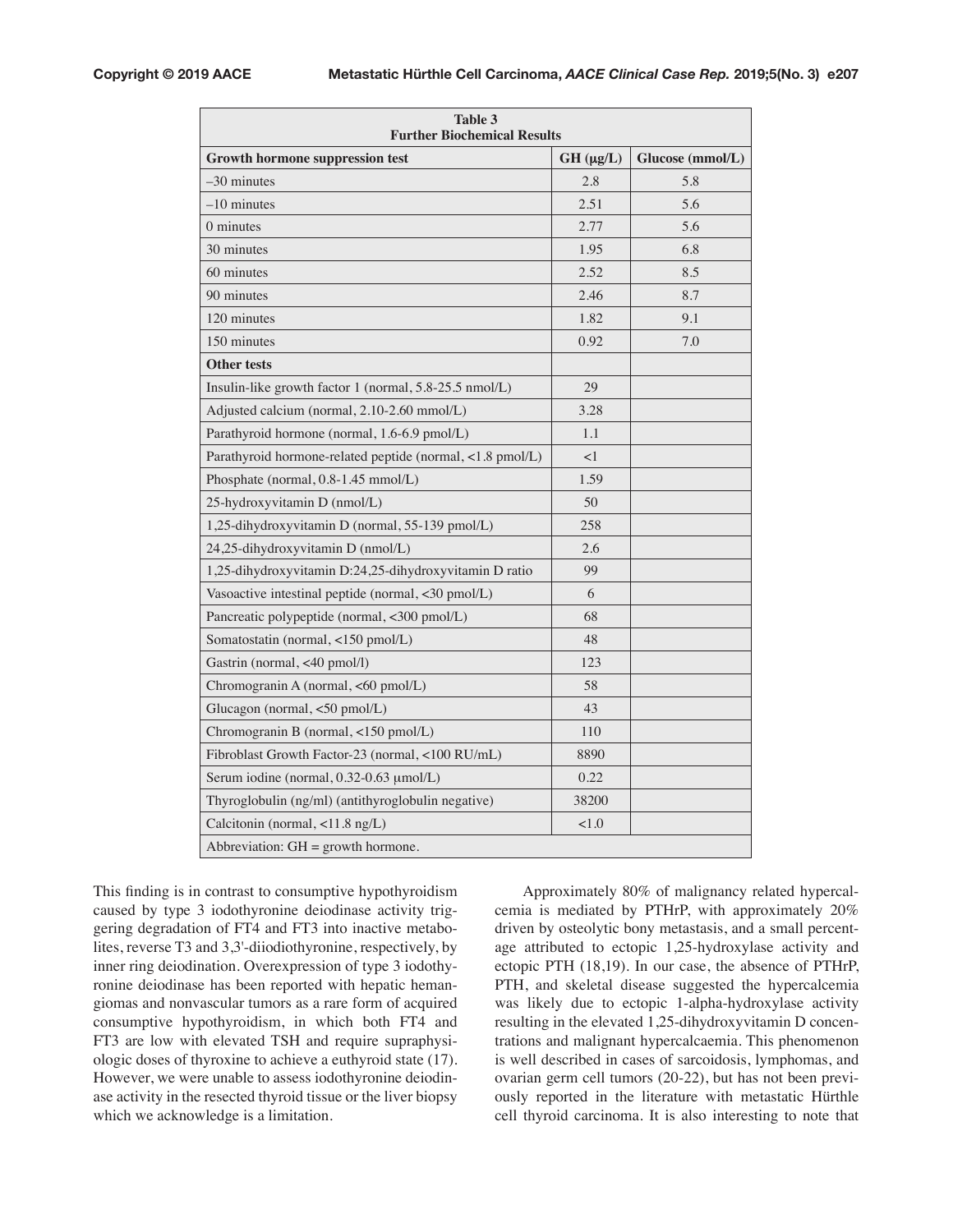| Table 3<br><b>Further Biochemical Results</b>             |                    |                  |  |  |  |  |  |
|-----------------------------------------------------------|--------------------|------------------|--|--|--|--|--|
| <b>Growth hormone suppression test</b>                    | $GH$ ( $\mu g/L$ ) | Glucose (mmol/L) |  |  |  |  |  |
| $-30$ minutes                                             | 2.8                | 5.8              |  |  |  |  |  |
| $-10$ minutes                                             | 2.51               | 5.6              |  |  |  |  |  |
| 0 minutes                                                 | 2.77               | 5.6              |  |  |  |  |  |
| 30 minutes                                                | 1.95               | 6.8              |  |  |  |  |  |
| 60 minutes                                                | 2.52               | 8.5              |  |  |  |  |  |
| 90 minutes                                                | 2.46               | 8.7              |  |  |  |  |  |
| 120 minutes                                               | 1.82               | 9.1              |  |  |  |  |  |
| 150 minutes                                               | 0.92               | 7.0              |  |  |  |  |  |
| <b>Other tests</b>                                        |                    |                  |  |  |  |  |  |
| Insulin-like growth factor 1 (normal, 5.8-25.5 nmol/L)    | 29                 |                  |  |  |  |  |  |
| Adjusted calcium (normal, 2.10-2.60 mmol/L)               | 3.28               |                  |  |  |  |  |  |
| Parathyroid hormone (normal, 1.6-6.9 pmol/L)              | 1.1                |                  |  |  |  |  |  |
| Parathyroid hormone-related peptide (normal, <1.8 pmol/L) | $<$ 1              |                  |  |  |  |  |  |
| Phosphate (normal, 0.8-1.45 mmol/L)                       | 1.59               |                  |  |  |  |  |  |
| 25-hydroxyvitamin D (nmol/L)                              | 50                 |                  |  |  |  |  |  |
| 1,25-dihydroxyvitamin D (normal, 55-139 pmol/L)           | 258                |                  |  |  |  |  |  |
| 24,25-dihydroxyvitamin D (nmol/L)                         | 2.6                |                  |  |  |  |  |  |
| 1,25-dihydroxyvitamin D:24,25-dihydroxyvitamin D ratio    | 99                 |                  |  |  |  |  |  |
| Vasoactive intestinal peptide (normal, <30 pmol/L)        | 6                  |                  |  |  |  |  |  |
| Pancreatic polypeptide (normal, <300 pmol/L)              | 68                 |                  |  |  |  |  |  |
| Somatostatin (normal, <150 pmol/L)                        | 48                 |                  |  |  |  |  |  |
| Gastrin (normal, <40 pmol/l)                              | 123                |                  |  |  |  |  |  |
| Chromogranin A (normal, <60 pmol/L)                       | 58                 |                  |  |  |  |  |  |
| Glucagon (normal, <50 pmol/L)                             | 43                 |                  |  |  |  |  |  |
| Chromogranin B (normal, <150 pmol/L)                      | 110                |                  |  |  |  |  |  |
| Fibroblast Growth Factor-23 (normal, <100 RU/mL)          | 8890               |                  |  |  |  |  |  |
| Serum iodine (normal, 0.32-0.63 µmol/L)                   | 0.22               |                  |  |  |  |  |  |
| Thyroglobulin (ng/ml) (antithyroglobulin negative)        | 38200              |                  |  |  |  |  |  |
| Calcitonin (normal, <11.8 ng/L)                           | 1.0                |                  |  |  |  |  |  |
| Abbreviation: $GH =$ growth hormone.                      |                    |                  |  |  |  |  |  |

This finding is in contrast to consumptive hypothyroidism caused by type 3 iodothyronine deiodinase activity triggering degradation of FT4 and FT3 into inactive metabolites, reverse T3 and 3,3'-diiodiothyronine, respectively, by inner ring deiodination. Overexpression of type 3 iodothyronine deiodinase has been reported with hepatic hemangiomas and nonvascular tumors as a rare form of acquired consumptive hypothyroidism, in which both FT4 and FT3 are low with elevated TSH and require supraphysiologic doses of thyroxine to achieve a euthyroid state (17). However, we were unable to assess iodothyronine deiodinase activity in the resected thyroid tissue or the liver biopsy which we acknowledge is a limitation.

Approximately 80% of malignancy related hypercalcemia is mediated by PTHrP, with approximately 20% driven by osteolytic bony metastasis, and a small percentage attributed to ectopic 1,25-hydroxylase activity and ectopic PTH (18,19). In our case, the absence of PTHrP, PTH, and skeletal disease suggested the hypercalcemia was likely due to ectopic 1-alpha-hydroxylase activity resulting in the elevated 1,25-dihydroxyvitamin D concentrations and malignant hypercalcaemia. This phenomenon is well described in cases of sarcoidosis, lymphomas, and ovarian germ cell tumors (20-22), but has not been previously reported in the literature with metastatic Hürthle cell thyroid carcinoma. It is also interesting to note that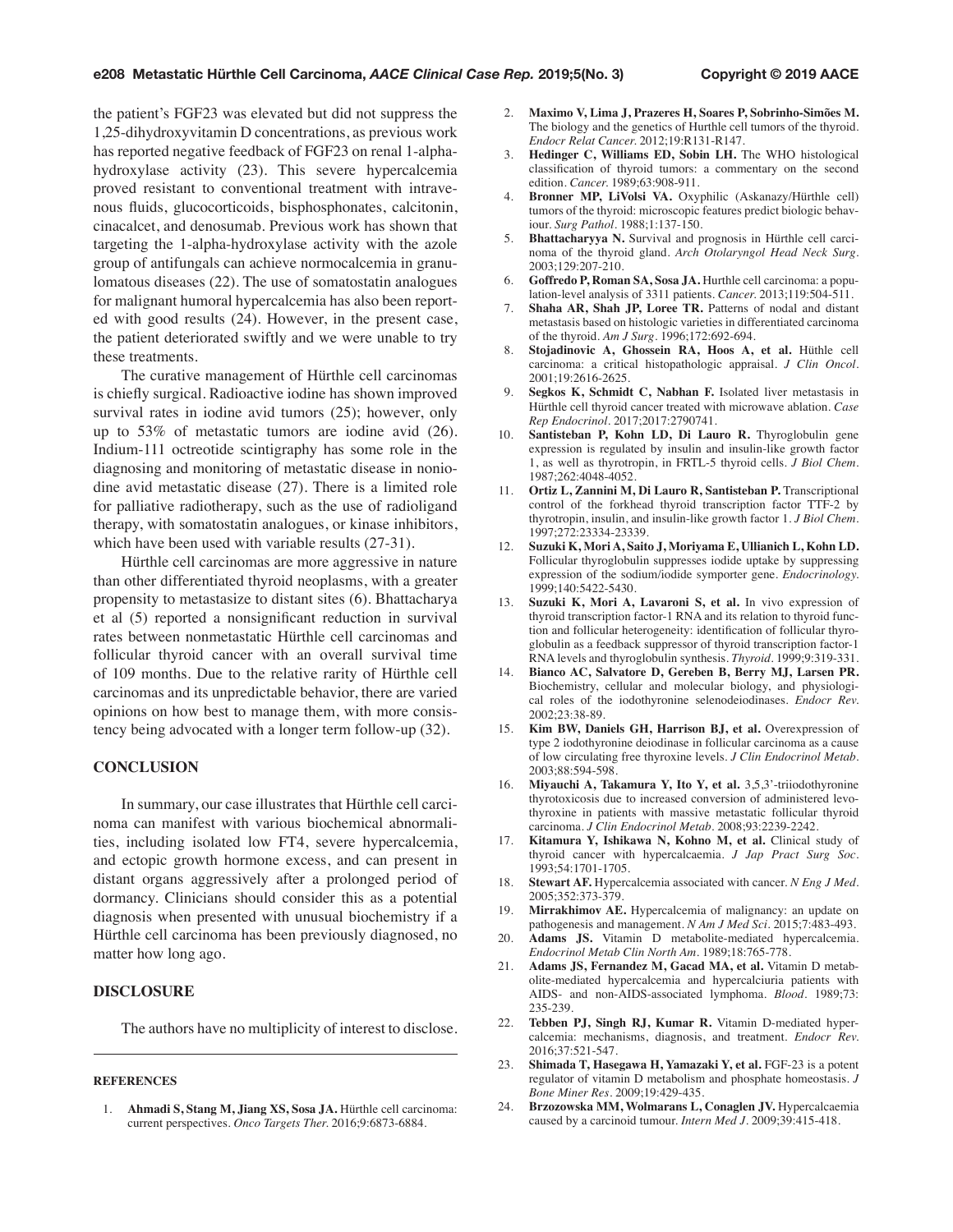the patient's FGF23 was elevated but did not suppress the 1,25-dihydroxyvitamin D concentrations, as previous work has reported negative feedback of FGF23 on renal 1-alphahydroxylase activity (23). This severe hypercalcemia proved resistant to conventional treatment with intravenous fluids, glucocorticoids, bisphosphonates, calcitonin, cinacalcet, and denosumab. Previous work has shown that targeting the 1-alpha-hydroxylase activity with the azole group of antifungals can achieve normocalcemia in granulomatous diseases (22). The use of somatostatin analogues for malignant humoral hypercalcemia has also been reported with good results (24). However, in the present case, the patient deteriorated swiftly and we were unable to try these treatments.

The curative management of Hürthle cell carcinomas is chiefly surgical. Radioactive iodine has shown improved survival rates in iodine avid tumors (25); however, only up to 53% of metastatic tumors are iodine avid (26). Indium-111 octreotide scintigraphy has some role in the diagnosing and monitoring of metastatic disease in noniodine avid metastatic disease (27). There is a limited role for palliative radiotherapy, such as the use of radioligand therapy, with somatostatin analogues, or kinase inhibitors, which have been used with variable results (27-31).

Hürthle cell carcinomas are more aggressive in nature than other differentiated thyroid neoplasms, with a greater propensity to metastasize to distant sites (6). Bhattacharya et al (5) reported a nonsignificant reduction in survival rates between nonmetastatic Hürthle cell carcinomas and follicular thyroid cancer with an overall survival time of 109 months. Due to the relative rarity of Hürthle cell carcinomas and its unpredictable behavior, there are varied opinions on how best to manage them, with more consistency being advocated with a longer term follow-up (32).

#### **CONCLUSION**

In summary, our case illustrates that Hürthle cell carcinoma can manifest with various biochemical abnormalities, including isolated low FT4, severe hypercalcemia, and ectopic growth hormone excess, and can present in distant organs aggressively after a prolonged period of dormancy. Clinicians should consider this as a potential diagnosis when presented with unusual biochemistry if a Hürthle cell carcinoma has been previously diagnosed, no matter how long ago.

## **DISCLOSURE**

The authors have no multiplicity of interest to disclose.

#### **REFERENCES**

1. **Ahmadi S, Stang M, Jiang XS, Sosa JA.** Hürthle cell carcinoma: current perspectives. *Onco Targets Ther.* 2016;9:6873-6884.

- 2. **Maximo V, Lima J, Prazeres H, Soares P, Sobrinho-Simões M.**  The biology and the genetics of Hurthle cell tumors of the thyroid. *Endocr Relat Cancer.* 2012;19:R131-R147.
- 3. **Hedinger C, Williams ED, Sobin LH.** The WHO histological classification of thyroid tumors: a commentary on the second edition. *Cancer.* 1989;63:908-911.
- 4. **Bronner MP, LiVolsi VA.** Oxyphilic (Askanazy/Hürthle cell) tumors of the thyroid: microscopic features predict biologic behaviour. *Surg Pathol.* 1988;1:137-150.
- 5. **Bhattacharyya N.** Survival and prognosis in Hürthle cell carcinoma of the thyroid gland. *Arch Otolaryngol Head Neck Surg.*  2003;129:207-210.
- 6. **Goffredo P, Roman SA, Sosa JA.** Hurthle cell carcinoma: a population-level analysis of 3311 patients. *Cancer.* 2013;119:504-511.
- 7. **Shaha AR, Shah JP, Loree TR.** Patterns of nodal and distant metastasis based on histologic varieties in differentiated carcinoma of the thyroid. *Am J Surg.* 1996;172:692-694.
- 8. **Stojadinovic A, Ghossein RA, Hoos A, et al.** Hüthle cell carcinoma: a critical histopathologic appraisal. *J Clin Oncol.*  2001;19:2616-2625.
- 9. **Segkos K, Schmidt C, Nabhan F.** Isolated liver metastasis in Hürthle cell thyroid cancer treated with microwave ablation. *Case Rep Endocrinol.* 2017;2017:2790741.
- 10. **Santisteban P, Kohn LD, Di Lauro R.** Thyroglobulin gene expression is regulated by insulin and insulin-like growth factor 1, as well as thyrotropin, in FRTL-5 thyroid cells. *J Biol Chem.*  1987;262:4048-4052.
- 11. **Ortiz L, Zannini M, Di Lauro R, Santisteban P.** Transcriptional control of the forkhead thyroid transcription factor TTF-2 by thyrotropin, insulin, and insulin-like growth factor 1. *J Biol Chem.*  1997;272:23334-23339.
- 12. **Suzuki K, Mori A, Saito J, Moriyama E, Ullianich L, Kohn LD.**  Follicular thyroglobulin suppresses iodide uptake by suppressing expression of the sodium/iodide symporter gene. *Endocrinology.*  1999;140:5422-5430.
- 13. **Suzuki K, Mori A, Lavaroni S, et al.** In vivo expression of thyroid transcription factor-1 RNA and its relation to thyroid function and follicular heterogeneity: identification of follicular thyroglobulin as a feedback suppressor of thyroid transcription factor-1 RNA levels and thyroglobulin synthesis. *Thyroid.* 1999;9:319-331.
- 14. **Bianco AC, Salvatore D, Gereben B, Berry MJ, Larsen PR.**  Biochemistry, cellular and molecular biology, and physiological roles of the iodothyronine selenodeiodinases. *Endocr Rev.*  2002;23:38-89.
- Kim BW, Daniels GH, Harrison BJ, et al. Overexpression of type 2 iodothyronine deiodinase in follicular carcinoma as a cause of low circulating free thyroxine levels. *J Clin Endocrinol Metab.*  2003;88:594-598.
- 16. **Miyauchi A, Takamura Y, Ito Y, et al.** 3,5,3'-triiodothyronine thyrotoxicosis due to increased conversion of administered levothyroxine in patients with massive metastatic follicular thyroid carcinoma. *J Clin Endocrinol Metab.* 2008;93:2239-2242.
- 17. **Kitamura Y, Ishikawa N, Kohno M, et al.** Clinical study of thyroid cancer with hypercalcaemia. *J Jap Pract Surg Soc.*  1993;54:1701-1705.
- Stewart AF. Hypercalcemia associated with cancer. *N Eng J Med.* 2005;352:373-379.
- 19. **Mirrakhimov AE.** Hypercalcemia of malignancy: an update on pathogenesis and management. *N Am J Med Sci.* 2015;7:483-493.
- 20. **Adams JS.** Vitamin D metabolite-mediated hypercalcemia. *Endocrinol Metab Clin North Am.* 1989;18:765-778.
- 21. **Adams JS, Fernandez M, Gacad MA, et al.** Vitamin D metabolite-mediated hypercalcemia and hypercalciuria patients with AIDS- and non-AIDS-associated lymphoma. *Blood.* 1989;73: 235-239.
- Tebben PJ, Singh RJ, Kumar R. Vitamin D-mediated hypercalcemia: mechanisms, diagnosis, and treatment. *Endocr Rev.*  2016;37:521-547.
- 23. **Shimada T, Hasegawa H, Yamazaki Y, et al.** FGF-23 is a potent regulator of vitamin D metabolism and phosphate homeostasis. *J Bone Miner Res.* 2009;19:429-435.
- 24. **Brzozowska MM, Wolmarans L, Conaglen JV.** Hypercalcaemia caused by a carcinoid tumour. *Intern Med J.* 2009;39:415-418.